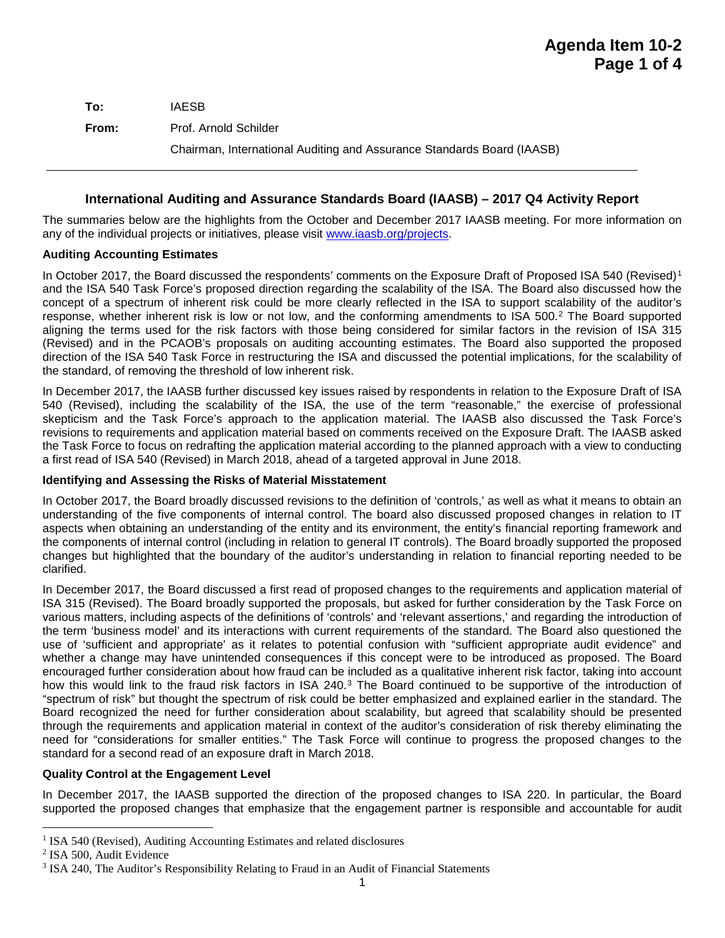| To:   | <b>IAESB</b>                                                           |
|-------|------------------------------------------------------------------------|
| From: | Prof. Arnold Schilder                                                  |
|       | Chairman, International Auditing and Assurance Standards Board (IAASB) |

# **International Auditing and Assurance Standards Board (IAASB) – 2017 Q4 Activity Report**

The summaries below are the highlights from the October and December 2017 IAASB meeting. For more information on any of the individual projects or initiatives, please visit [www.iaasb.org/projects.](http://www.iaasb.org/projects)

## **Auditing Accounting Estimates**

In October 20[1](#page-0-0)7, the Board discussed the respondents' comments on the Exposure Draft of Proposed ISA 540 (Revised)<sup>1</sup> and the ISA 540 Task Force's proposed direction regarding the scalability of the ISA. The Board also discussed how the concept of a spectrum of inherent risk could be more clearly reflected in the ISA to support scalability of the auditor's response, whether inherent risk is low or not low, and the conforming amendments to ISA 500.[2](#page-0-1) The Board supported aligning the terms used for the risk factors with those being considered for similar factors in the revision of ISA 315 (Revised) and in the PCAOB's proposals on auditing accounting estimates. The Board also supported the proposed direction of the ISA 540 Task Force in restructuring the ISA and discussed the potential implications, for the scalability of the standard, of removing the threshold of low inherent risk.

In December 2017, the IAASB further discussed key issues raised by respondents in relation to the Exposure Draft of ISA 540 (Revised), including the scalability of the ISA, the use of the term "reasonable," the exercise of professional skepticism and the Task Force's approach to the application material. The IAASB also discussed the Task Force's revisions to requirements and application material based on comments received on the Exposure Draft. The IAASB asked the Task Force to focus on redrafting the application material according to the planned approach with a view to conducting a first read of ISA 540 (Revised) in March 2018, ahead of a targeted approval in June 2018.

## **Identifying and Assessing the Risks of Material Misstatement**

In October 2017, the Board broadly discussed revisions to the definition of 'controls,' as well as what it means to obtain an understanding of the five components of internal control. The board also discussed proposed changes in relation to IT aspects when obtaining an understanding of the entity and its environment, the entity's financial reporting framework and the components of internal control (including in relation to general IT controls). The Board broadly supported the proposed changes but highlighted that the boundary of the auditor's understanding in relation to financial reporting needed to be clarified.

In December 2017, the Board discussed a first read of proposed changes to the requirements and application material of ISA 315 (Revised). The Board broadly supported the proposals, but asked for further consideration by the Task Force on various matters, including aspects of the definitions of 'controls' and 'relevant assertions,' and regarding the introduction of the term 'business model' and its interactions with current requirements of the standard. The Board also questioned the use of 'sufficient and appropriate' as it relates to potential confusion with "sufficient appropriate audit evidence" and whether a change may have unintended consequences if this concept were to be introduced as proposed. The Board encouraged further consideration about how fraud can be included as a qualitative inherent risk factor, taking into account how this would link to the fraud risk factors in ISA 240.<sup>[3](#page-0-2)</sup> The Board continued to be supportive of the introduction of "spectrum of risk" but thought the spectrum of risk could be better emphasized and explained earlier in the standard. The Board recognized the need for further consideration about scalability, but agreed that scalability should be presented through the requirements and application material in context of the auditor's consideration of risk thereby eliminating the need for "considerations for smaller entities." The Task Force will continue to progress the proposed changes to the standard for a second read of an exposure draft in March 2018.

## **Quality Control at the Engagement Level**

In December 2017, the IAASB supported the direction of the proposed changes to ISA 220. In particular, the Board supported the proposed changes that emphasize that the engagement partner is responsible and accountable for audit

<span id="page-0-0"></span><sup>&</sup>lt;sup>1</sup> ISA 540 (Revised), Auditing Accounting Estimates and related disclosures

<span id="page-0-1"></span><sup>2</sup> ISA 500, Audit Evidence

<span id="page-0-2"></span><sup>3</sup> ISA 240, The Auditor's Responsibility Relating to Fraud in an Audit of Financial Statements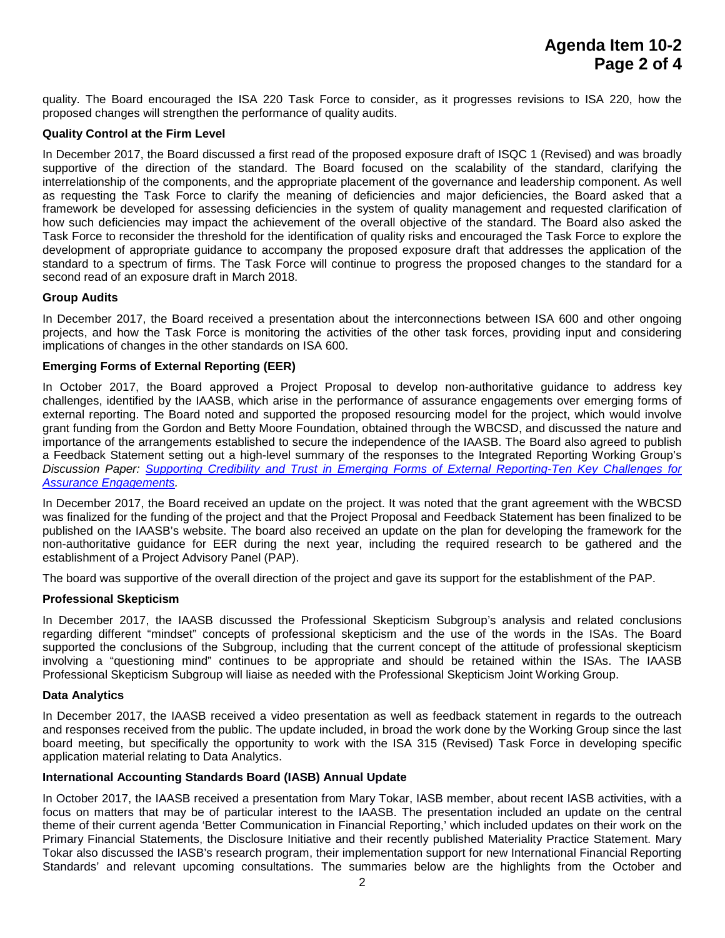quality. The Board encouraged the ISA 220 Task Force to consider, as it progresses revisions to ISA 220, how the proposed changes will strengthen the performance of quality audits.

### **Quality Control at the Firm Level**

In December 2017, the Board discussed a first read of the proposed exposure draft of ISQC 1 (Revised) and was broadly supportive of the direction of the standard. The Board focused on the scalability of the standard, clarifying the interrelationship of the components, and the appropriate placement of the governance and leadership component. As well as requesting the Task Force to clarify the meaning of deficiencies and major deficiencies, the Board asked that a framework be developed for assessing deficiencies in the system of quality management and requested clarification of how such deficiencies may impact the achievement of the overall objective of the standard. The Board also asked the Task Force to reconsider the threshold for the identification of quality risks and encouraged the Task Force to explore the development of appropriate guidance to accompany the proposed exposure draft that addresses the application of the standard to a spectrum of firms. The Task Force will continue to progress the proposed changes to the standard for a second read of an exposure draft in March 2018.

#### **Group Audits**

In December 2017, the Board received a presentation about the interconnections between ISA 600 and other ongoing projects, and how the Task Force is monitoring the activities of the other task forces, providing input and considering implications of changes in the other standards on ISA 600.

## **Emerging Forms of External Reporting (EER)**

In October 2017, the Board approved a Project Proposal to develop non-authoritative guidance to address key challenges, identified by the IAASB, which arise in the performance of assurance engagements over emerging forms of external reporting. The Board noted and supported the proposed resourcing model for the project, which would involve grant funding from the Gordon and Betty Moore Foundation, obtained through the WBCSD, and discussed the nature and importance of the arrangements established to secure the independence of the IAASB. The Board also agreed to publish a Feedback Statement setting out a high-level summary of the responses to the Integrated Reporting Working Group's *Discussion Paper: [Supporting Credibility and Trust in Emerging Forms of External Reporting-Ten Key Challenges for](https://www.ifac.org/system/files/publications/files/IAASB-Discussion-Paper-Integrated-Reporting_0.pdf)  [Assurance Engagements.](https://www.ifac.org/system/files/publications/files/IAASB-Discussion-Paper-Integrated-Reporting_0.pdf)*

In December 2017, the Board received an update on the project. It was noted that the grant agreement with the WBCSD was finalized for the funding of the project and that the Project Proposal and Feedback Statement has been finalized to be published on the IAASB's website. The board also received an update on the plan for developing the framework for the non-authoritative guidance for EER during the next year, including the required research to be gathered and the establishment of a Project Advisory Panel (PAP).

The board was supportive of the overall direction of the project and gave its support for the establishment of the PAP.

## **Professional Skepticism**

In December 2017, the IAASB discussed the Professional Skepticism Subgroup's analysis and related conclusions regarding different "mindset" concepts of professional skepticism and the use of the words in the ISAs. The Board supported the conclusions of the Subgroup, including that the current concept of the attitude of professional skepticism involving a "questioning mind" continues to be appropriate and should be retained within the ISAs. The IAASB Professional Skepticism Subgroup will liaise as needed with the Professional Skepticism Joint Working Group.

#### **Data Analytics**

In December 2017, the IAASB received a video presentation as well as feedback statement in regards to the outreach and responses received from the public. The update included, in broad the work done by the Working Group since the last board meeting, but specifically the opportunity to work with the ISA 315 (Revised) Task Force in developing specific application material relating to Data Analytics.

## **International Accounting Standards Board (IASB) Annual Update**

In October 2017, the IAASB received a presentation from Mary Tokar, IASB member, about recent IASB activities, with a focus on matters that may be of particular interest to the IAASB. The presentation included an update on the central theme of their current agenda 'Better Communication in Financial Reporting,' which included updates on their work on the Primary Financial Statements, the Disclosure Initiative and their recently published Materiality Practice Statement. Mary Tokar also discussed the IASB's research program, their implementation support for new International Financial Reporting Standards' and relevant upcoming consultations. The summaries below are the highlights from the October and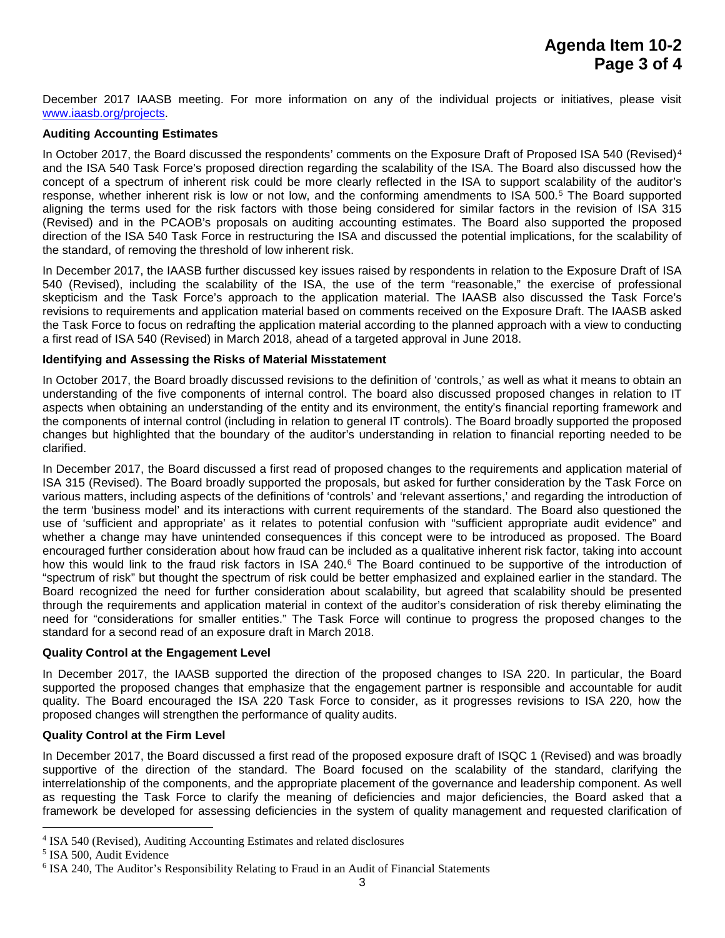December 2017 IAASB meeting. For more information on any of the individual projects or initiatives, please visit [www.iaasb.org/projects.](http://www.iaasb.org/projects)

### **Auditing Accounting Estimates**

In October 2017, the Board discussed the respondents' comments on the Exposure Draft of Proposed ISA 5[4](#page-2-0)0 (Revised)<sup>4</sup> and the ISA 540 Task Force's proposed direction regarding the scalability of the ISA. The Board also discussed how the concept of a spectrum of inherent risk could be more clearly reflected in the ISA to support scalability of the auditor's response, whether inherent risk is low or not low, and the conforming amendments to ISA [5](#page-2-1)00.<sup>5</sup> The Board supported aligning the terms used for the risk factors with those being considered for similar factors in the revision of ISA 315 (Revised) and in the PCAOB's proposals on auditing accounting estimates. The Board also supported the proposed direction of the ISA 540 Task Force in restructuring the ISA and discussed the potential implications, for the scalability of the standard, of removing the threshold of low inherent risk.

In December 2017, the IAASB further discussed key issues raised by respondents in relation to the Exposure Draft of ISA 540 (Revised), including the scalability of the ISA, the use of the term "reasonable," the exercise of professional skepticism and the Task Force's approach to the application material. The IAASB also discussed the Task Force's revisions to requirements and application material based on comments received on the Exposure Draft. The IAASB asked the Task Force to focus on redrafting the application material according to the planned approach with a view to conducting a first read of ISA 540 (Revised) in March 2018, ahead of a targeted approval in June 2018.

## **Identifying and Assessing the Risks of Material Misstatement**

In October 2017, the Board broadly discussed revisions to the definition of 'controls,' as well as what it means to obtain an understanding of the five components of internal control. The board also discussed proposed changes in relation to IT aspects when obtaining an understanding of the entity and its environment, the entity's financial reporting framework and the components of internal control (including in relation to general IT controls). The Board broadly supported the proposed changes but highlighted that the boundary of the auditor's understanding in relation to financial reporting needed to be clarified.

In December 2017, the Board discussed a first read of proposed changes to the requirements and application material of ISA 315 (Revised). The Board broadly supported the proposals, but asked for further consideration by the Task Force on various matters, including aspects of the definitions of 'controls' and 'relevant assertions,' and regarding the introduction of the term 'business model' and its interactions with current requirements of the standard. The Board also questioned the use of 'sufficient and appropriate' as it relates to potential confusion with "sufficient appropriate audit evidence" and whether a change may have unintended consequences if this concept were to be introduced as proposed. The Board encouraged further consideration about how fraud can be included as a qualitative inherent risk factor, taking into account how this would link to the fraud risk factors in ISA 240.<sup>[6](#page-2-2)</sup> The Board continued to be supportive of the introduction of "spectrum of risk" but thought the spectrum of risk could be better emphasized and explained earlier in the standard. The Board recognized the need for further consideration about scalability, but agreed that scalability should be presented through the requirements and application material in context of the auditor's consideration of risk thereby eliminating the need for "considerations for smaller entities." The Task Force will continue to progress the proposed changes to the standard for a second read of an exposure draft in March 2018.

## **Quality Control at the Engagement Level**

In December 2017, the IAASB supported the direction of the proposed changes to ISA 220. In particular, the Board supported the proposed changes that emphasize that the engagement partner is responsible and accountable for audit quality. The Board encouraged the ISA 220 Task Force to consider, as it progresses revisions to ISA 220, how the proposed changes will strengthen the performance of quality audits.

## **Quality Control at the Firm Level**

In December 2017, the Board discussed a first read of the proposed exposure draft of ISQC 1 (Revised) and was broadly supportive of the direction of the standard. The Board focused on the scalability of the standard, clarifying the interrelationship of the components, and the appropriate placement of the governance and leadership component. As well as requesting the Task Force to clarify the meaning of deficiencies and major deficiencies, the Board asked that a framework be developed for assessing deficiencies in the system of quality management and requested clarification of

<span id="page-2-0"></span> <sup>4</sup> ISA 540 (Revised), Auditing Accounting Estimates and related disclosures

<span id="page-2-1"></span><sup>5</sup> ISA 500, Audit Evidence

<span id="page-2-2"></span><sup>6</sup> ISA 240, The Auditor's Responsibility Relating to Fraud in an Audit of Financial Statements